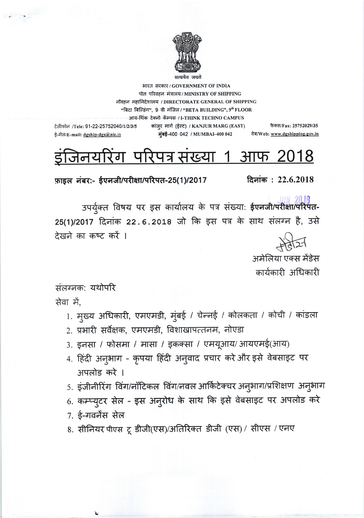

भारत सरकार/GOVERNMENT OF INDIA पोत परिवहन मंत्रालय / MINISTRY OF SHIPPING नौवहन महानिदेशालय / DIRECTORATE GENERAL OF SHIPPING "बिटा बिल्डिंग", 9 वी मंजिल / "BETA BUILDING", 9th FLOOR आय-थिंक टेक्नो कॅम्पस / I-THINK TECHNO CAMPUS

टेलीफोन /Tele: 91-22-25752040/1/2/3/5 कांज़्र मार्ग (ईस्ट) / KANJUR MARG (EAST) मुंबई-400 042 / MUMBAI-400 042

ई-मेल/E-mail: dgship-dgs@nic.in

फैक्स/Fax: 25752029/35 वेब/Web: www.dgshipping.gov.in

## <u>परिपत्र संख्या 1 आफ 2018</u> डाजनय  $\mathsf{d}$

फ़ाइल नंबर:- ईएनजी/परीक्षा/परिपत-25(1)/2017

दिनांक:  $22.6.2018$ 

उपर्युक्त विषय पर इस कार्यालय के पत्र संख्या: ईएनजी/परीक्षा/परिपत-25(1)/2017 दिनांक 22.6.2018 जो कि इस पत्र के साथ संलग्न है, उसे देखने का कष्ट करें ।

अमेलिया एक्स मेंडेस

कार्यकारी अधिकारी

संलग्नक: यथोपरि सेवा में.

- 1. मुख्य अधिकारी, एमएमडी, मुंबई / चेन्नई / कोलकता / कोची / कांडला
- 2. प्रभारी सर्वेक्षक, एमएमडी, विशाखापत्तनम, नोएडा
- 3. इनसा / फोसमा / मासा / इकक्सा / एमयूआय/आयएमई(आय)
- 4. हिंदी अनुभाग कृपया हिंदी अनुवाद प्रचार करे और इसे वेबसाइट पर अपलोड करे ।
- 5. इंजीनीरिंग विंग/नॉटिकल विंग/नवल आर्किटेक्चर अनुभाग/प्रशिक्षण अनुभाग
- 6. कम्प्युटर सेल इस अनुरोध के साथ कि इसे वेबसाइट पर अपलोड करे
- 7. ई-गवर्नेंस सेल
- 8. सीनियर पीएस टू डीजी(एस)/अतिरिक्त डीजी (एस) / सीएस / एनए